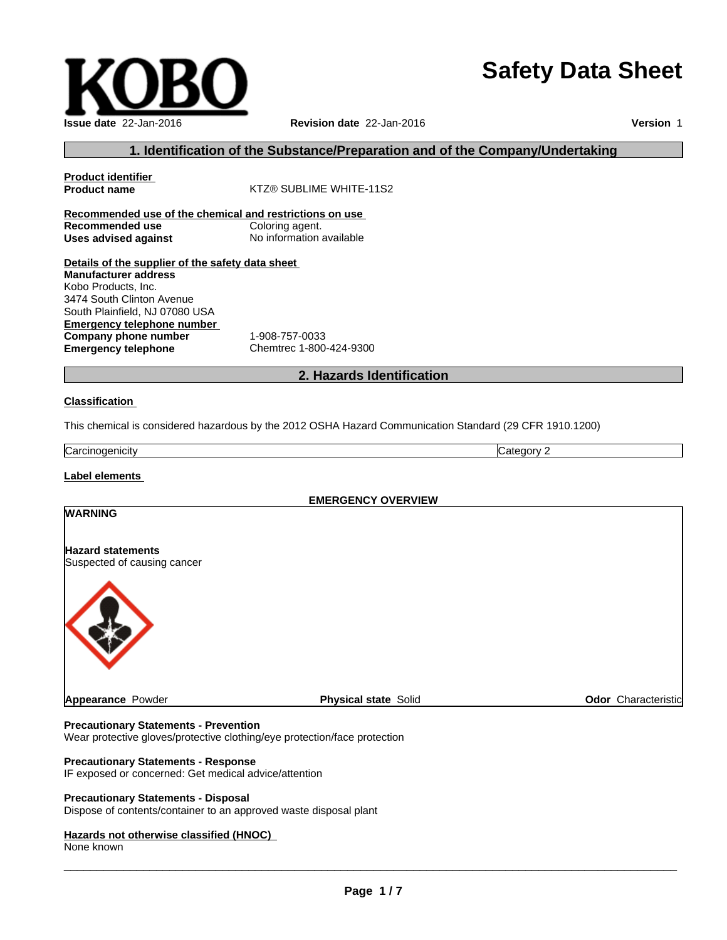# **Safety Data Sheet**

| <b>Issue date 22-Jan-2016</b> |
|-------------------------------|

# **Issue date** 22-Jan-2016 **Revision date** 22-Jan-2016 **Version** 1

# **1. Identification of the Substance/Preparation and of the Company/Undertaking**

| <b>Product identifier</b>                               |                          |
|---------------------------------------------------------|--------------------------|
| <b>Product name</b>                                     | KTZ® SUBLIME WHITE-11S2  |
| Recommended use of the chemical and restrictions on use |                          |
| Recommended use                                         | Coloring agent.          |
| Uses advised against                                    | No information available |
| Details of the supplier of the safety data sheet        |                          |
| <b>Manufacturer address</b>                             |                          |
| Kobo Products, Inc.                                     |                          |
| 3474 South Clinton Avenue                               |                          |
| South Plainfield, NJ 07080 USA                          |                          |
| Emergency telephone number                              |                          |
| Company phone number                                    | 1-908-757-0033           |
| <b>Emergency telephone</b>                              | Chemtrec 1-800-424-9300  |
|                                                         |                          |

# **2. Hazards Identification**

#### **Classification**

This chemical is considered hazardous by the 2012 OSHA Hazard Communication Standard (29 CFR 1910.1200)

**Carcinogenicity** Category 2

### **Label elements**

**EMERGENCY OVERVIEW**

# **Hazard statements**

**WARNING**

Suspected of causing cancer



**Appearance** Powder **Physical state** Solid **Odor** Characteristic

#### **Precautionary Statements - Prevention**

Wear protective gloves/protective clothing/eye protection/face protection

#### **Precautionary Statements - Response**

IF exposed or concerned: Get medical advice/attention

#### **Precautionary Statements - Disposal**

Dispose of contents/container to an approved waste disposal plant

# **Hazards not otherwise classified (HNOC)**

None known

 $\overline{\phantom{a}}$  ,  $\overline{\phantom{a}}$  ,  $\overline{\phantom{a}}$  ,  $\overline{\phantom{a}}$  ,  $\overline{\phantom{a}}$  ,  $\overline{\phantom{a}}$  ,  $\overline{\phantom{a}}$  ,  $\overline{\phantom{a}}$  ,  $\overline{\phantom{a}}$  ,  $\overline{\phantom{a}}$  ,  $\overline{\phantom{a}}$  ,  $\overline{\phantom{a}}$  ,  $\overline{\phantom{a}}$  ,  $\overline{\phantom{a}}$  ,  $\overline{\phantom{a}}$  ,  $\overline{\phantom{a}}$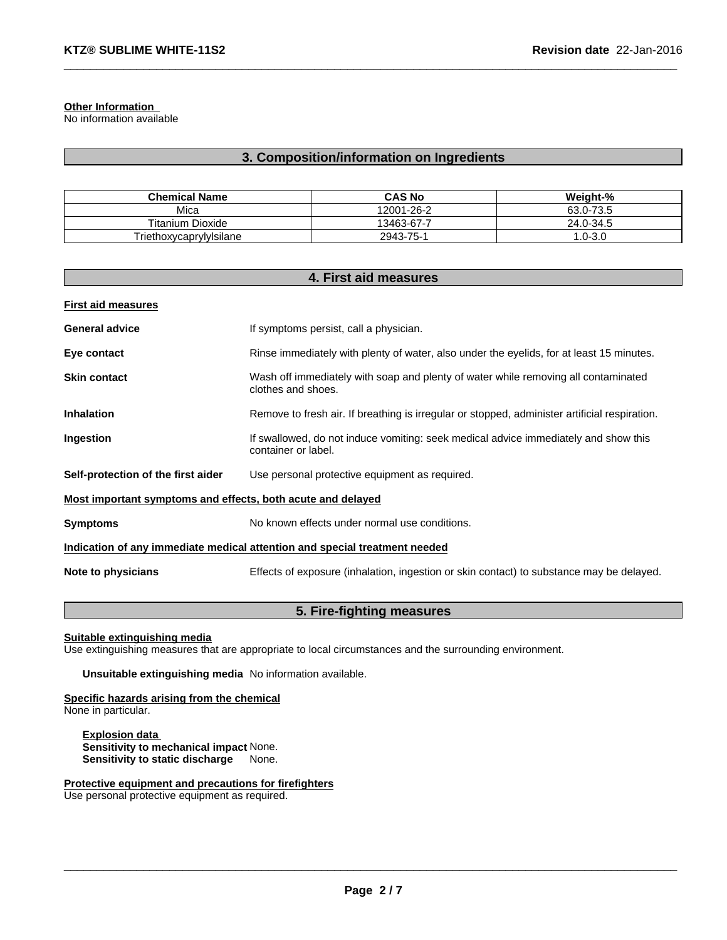#### **Other Information**

No information available

# **3. Composition/information on Ingredients**

| <b>Chemical Name</b>    | <b>CAS No</b> | Weight-%           |
|-------------------------|---------------|--------------------|
| Mica                    | 12001-26-2    | $J - 73.5$<br>63.0 |
| <b>Titanium Dioxide</b> | 13463-67-7    | 24.0-34.5          |
| Triethoxycaprylylsilane | 2943-75-1     | $.0 - 3.0$         |

| 4. First aid measures                                                      |                                                                                                            |  |
|----------------------------------------------------------------------------|------------------------------------------------------------------------------------------------------------|--|
| <b>First aid measures</b>                                                  |                                                                                                            |  |
| <b>General advice</b>                                                      | If symptoms persist, call a physician.                                                                     |  |
| Eye contact                                                                | Rinse immediately with plenty of water, also under the eyelids, for at least 15 minutes.                   |  |
| <b>Skin contact</b>                                                        | Wash off immediately with soap and plenty of water while removing all contaminated<br>clothes and shoes.   |  |
| <b>Inhalation</b>                                                          | Remove to fresh air. If breathing is irregular or stopped, administer artificial respiration.              |  |
| Ingestion                                                                  | If swallowed, do not induce vomiting: seek medical advice immediately and show this<br>container or label. |  |
| Self-protection of the first aider                                         | Use personal protective equipment as required.                                                             |  |
| Most important symptoms and effects, both acute and delayed                |                                                                                                            |  |
| <b>Symptoms</b>                                                            | No known effects under normal use conditions.                                                              |  |
| Indication of any immediate medical attention and special treatment needed |                                                                                                            |  |
| Note to physicians                                                         | Effects of exposure (inhalation, ingestion or skin contact) to substance may be delayed.                   |  |

# **5. Fire-fighting measures**

#### **Suitable extinguishing media**

Use extinguishing measures that are appropriate to local circumstances and the surrounding environment.

**Unsuitable extinguishing media** No information available.

**Specific hazards arising from the chemical** None in particular.

**Explosion data Sensitivity to mechanical impact** None. **Sensitivity to static discharge** None.

**Protective equipment and precautions for firefighters** Use personal protective equipment as required.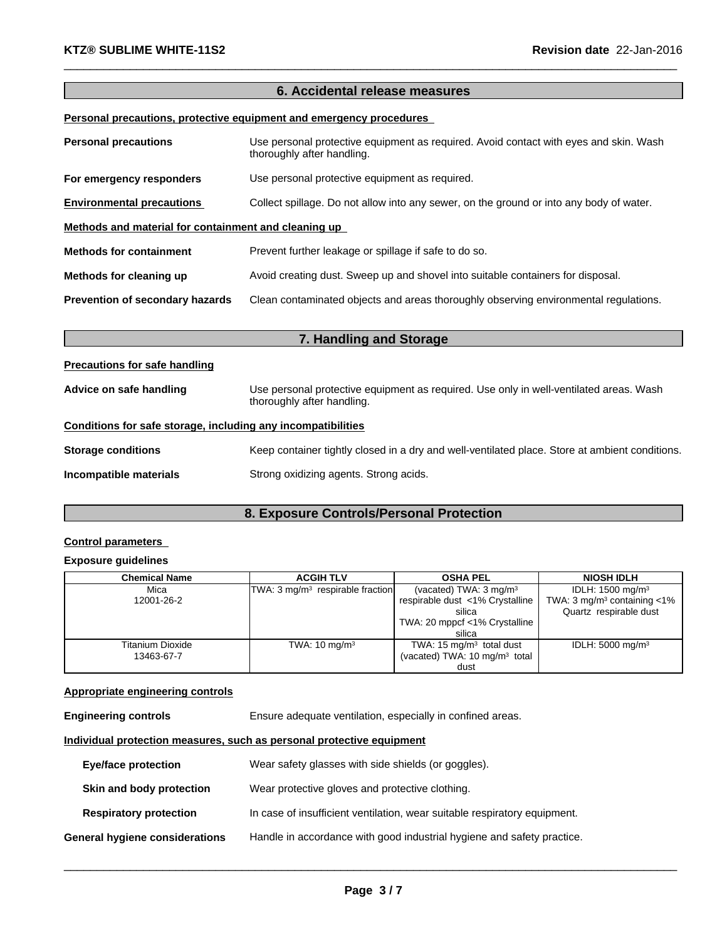# **6. Accidental release measures**

# **Personal precautions, protective equipment and emergency procedures**

| <b>Personal precautions</b>                          | Use personal protective equipment as required. Avoid contact with eyes and skin. Wash<br>thoroughly after handling. |  |
|------------------------------------------------------|---------------------------------------------------------------------------------------------------------------------|--|
| For emergency responders                             | Use personal protective equipment as required.                                                                      |  |
| <b>Environmental precautions</b>                     | Collect spillage. Do not allow into any sewer, on the ground or into any body of water.                             |  |
| Methods and material for containment and cleaning up |                                                                                                                     |  |
| <b>Methods for containment</b>                       | Prevent further leakage or spillage if safe to do so.                                                               |  |
| Methods for cleaning up                              | Avoid creating dust. Sweep up and shovel into suitable containers for disposal.                                     |  |
| Prevention of secondary hazards                      | Clean contaminated objects and areas thoroughly observing environmental regulations.                                |  |

|                                                              | 7. Handling and Storage                                                                                              |
|--------------------------------------------------------------|----------------------------------------------------------------------------------------------------------------------|
| <b>Precautions for safe handling</b>                         |                                                                                                                      |
| Advice on safe handling                                      | Use personal protective equipment as required. Use only in well-ventilated areas. Wash<br>thoroughly after handling. |
| Conditions for safe storage, including any incompatibilities |                                                                                                                      |
| <b>Storage conditions</b>                                    | Keep container tightly closed in a dry and well-ventilated place. Store at ambient conditions.                       |
| Incompatible materials                                       | Strong oxidizing agents. Strong acids.                                                                               |

# **8. Exposure Controls/Personal Protection**

# **Control parameters**

# **Exposure guidelines**

| <b>Chemical Name</b> | <b>ACGIH TLV</b>                             | <b>OSHA PEL</b>                           | <b>NIOSH IDLH</b>                            |
|----------------------|----------------------------------------------|-------------------------------------------|----------------------------------------------|
| Mica                 | TWA: 3 mg/m <sup>3</sup> respirable fraction | (vacated) TWA: $3 \text{ mg/m}^3$         | IDLH: 1500 mg/m <sup>3</sup>                 |
| 12001-26-2           |                                              | respirable dust <1% Crystalline           | TWA: $3 \text{ mg/m}^3$ containing $\lt 1\%$ |
|                      |                                              | silica                                    | Quartz respirable dust                       |
|                      |                                              | TWA: 20 mppcf <1% Crystalline             |                                              |
|                      |                                              | silica                                    |                                              |
| Titanium Dioxide     | TWA: $10 \text{ mg/m}^3$                     | TWA: $15 \text{ mg/m}^3$ total dust       | IDLH: $5000 \text{ mg/m}^3$                  |
| 13463-67-7           |                                              | (vacated) TWA: 10 mg/m <sup>3</sup> total |                                              |
|                      |                                              | dust                                      |                                              |

# **Appropriate engineering controls**

**Engineering controls** Ensure adequate ventilation, especially in confined areas.

# **Individual protection measures, such as personal protective equipment**

| Eye/face protection            | Wear safety glasses with side shields (or goggles).                       |
|--------------------------------|---------------------------------------------------------------------------|
| Skin and body protection       | Wear protective gloves and protective clothing.                           |
| <b>Respiratory protection</b>  | In case of insufficient ventilation, wear suitable respiratory equipment. |
| General hygiene considerations | Handle in accordance with good industrial hygiene and safety practice.    |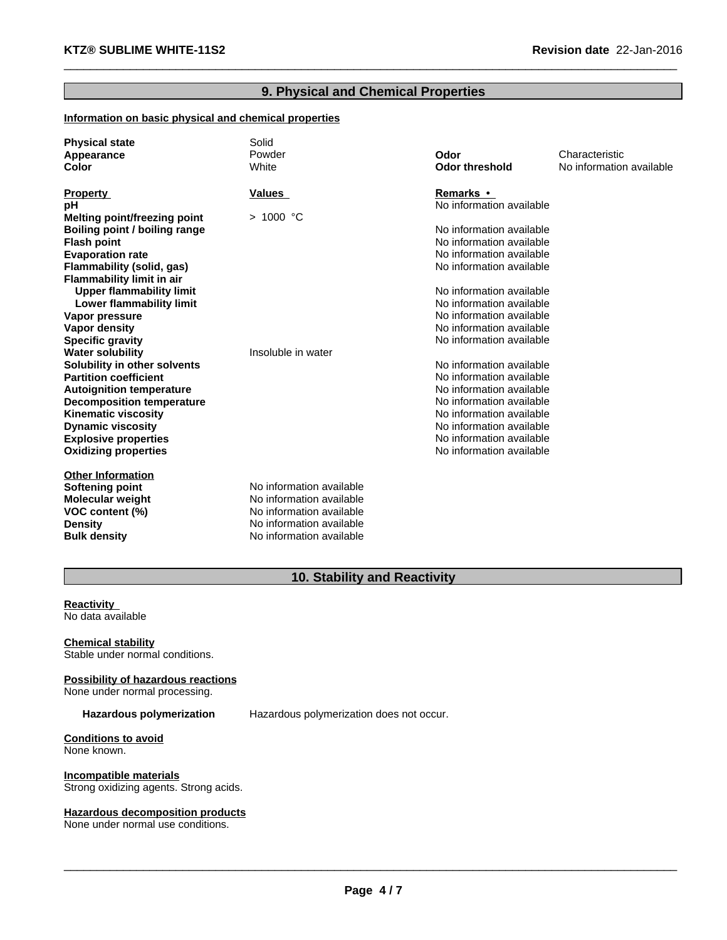# **9. Physical and Chemical Properties**

# **Information on basic physical and chemical properties**

| <b>Physical state</b>            | Solid                    |                          |                          |
|----------------------------------|--------------------------|--------------------------|--------------------------|
| Appearance                       | Powder                   | Odor                     | Characteristic           |
| Color                            | White                    | <b>Odor threshold</b>    | No information available |
|                                  |                          | Remarks •                |                          |
| <b>Property</b>                  | <b>Values</b>            | No information available |                          |
| рH                               |                          |                          |                          |
| Melting point/freezing point     | > 1000 °C                | No information available |                          |
| Boiling point / boiling range    |                          | No information available |                          |
| <b>Flash point</b>               |                          |                          |                          |
| <b>Evaporation rate</b>          |                          | No information available |                          |
| Flammability (solid, gas)        |                          | No information available |                          |
| <b>Flammability limit in air</b> |                          |                          |                          |
| <b>Upper flammability limit</b>  |                          | No information available |                          |
| Lower flammability limit         |                          | No information available |                          |
| Vapor pressure                   |                          | No information available |                          |
| Vapor density                    |                          | No information available |                          |
| <b>Specific gravity</b>          |                          | No information available |                          |
| <b>Water solubility</b>          | Insoluble in water       |                          |                          |
| Solubility in other solvents     |                          | No information available |                          |
| <b>Partition coefficient</b>     |                          | No information available |                          |
| <b>Autoignition temperature</b>  |                          | No information available |                          |
| <b>Decomposition temperature</b> |                          | No information available |                          |
| <b>Kinematic viscosity</b>       |                          | No information available |                          |
| <b>Dynamic viscosity</b>         |                          | No information available |                          |
| <b>Explosive properties</b>      |                          | No information available |                          |
| <b>Oxidizing properties</b>      |                          | No information available |                          |
| <b>Other Information</b>         |                          |                          |                          |
| Softening point                  | No information available |                          |                          |
| <b>Molecular weight</b>          | No information available |                          |                          |
| VOC content (%)                  | No information available |                          |                          |
| <b>Density</b>                   | No information available |                          |                          |
| <b>Bulk density</b>              | No information available |                          |                          |

# **10. Stability and Reactivity**

**Reactivity<br>No data available<br>Chemical stability** No data available

Stable under normal conditions.

**Possibility of hazardous reactions** None under normal processing.

**Hazardous polymerization** Hazardous polymerization does not occur.

**Conditions to avoid** None known.

**Incompatible materials** Strong oxidizing agents. Strong acids.

# **Hazardous decomposition products**

None under normal use conditions.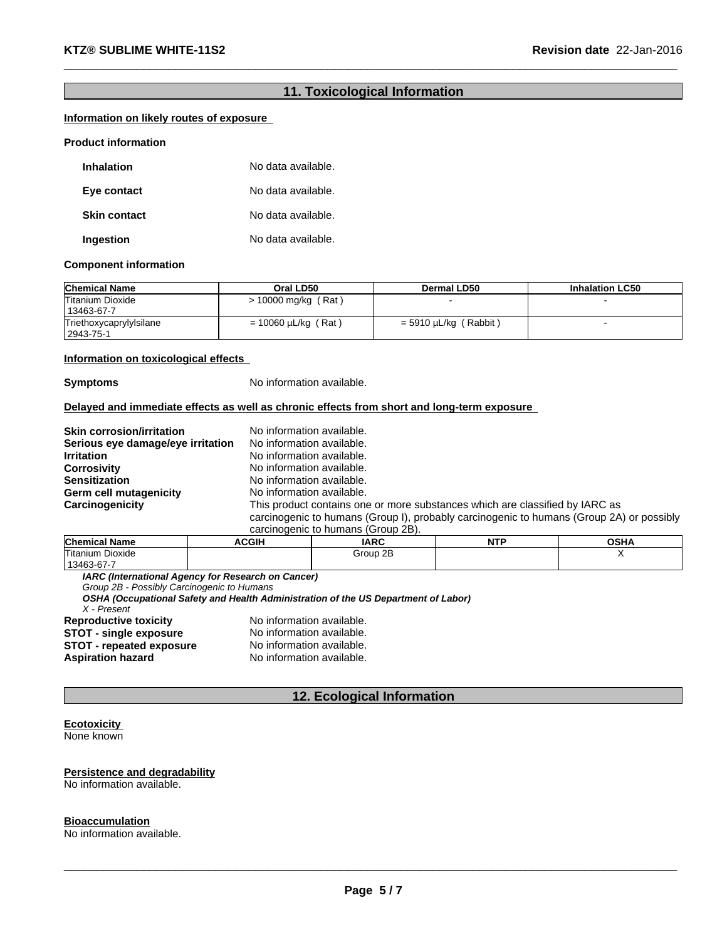# **11. Toxicological Information**

# **Information on likely routes of exposure**<br>Product information

| <b>Inhalation</b>   | No data available. |
|---------------------|--------------------|
| Eye contact         | No data available. |
| <b>Skin contact</b> | No data available. |
| Ingestion           | No data available. |

#### **Component information**

| <b>Chemical Name</b>                 | Oral LD50                | Dermal LD50               | <b>Inhalation LC50</b> |
|--------------------------------------|--------------------------|---------------------------|------------------------|
| Titanium Dioxide<br>  13463-67-7     | > 10000 mg/kg (Rat)      |                           |                        |
| Triethoxycaprylylsilane<br>2943-75-1 | $= 10060 \mu L/kg$ (Rat) | Rabbit)<br>= 5910 µL/kg ( |                        |

# **Information on toxicological effects**<br>**Symptoms** No information available.

#### **Delayed and immediate effects as well as chronic effects from short and long-term exposure**

| <b>Skin corrosion/irritation</b>  | No information available.                                                                |
|-----------------------------------|------------------------------------------------------------------------------------------|
| Serious eye damage/eye irritation | No information available.                                                                |
| <b>Irritation</b>                 | No information available.                                                                |
| <b>Corrosivity</b>                | No information available.                                                                |
| <b>Sensitization</b>              | No information available.                                                                |
| Germ cell mutagenicity            | No information available.                                                                |
| Carcinogenicity                   | This product contains one or more substances which are classified by IARC as             |
|                                   | carcinogenic to humans (Group I), probably carcinogenic to humans (Group 2A) or possibly |
|                                   | carcinogenic to humans (Group 2B).                                                       |

| Chemical<br>.<br>Name | <b>ACGIH</b> | <b>IARC</b> | <b>NTF</b><br>. | <b>OCUA</b><br>vəna |
|-----------------------|--------------|-------------|-----------------|---------------------|
| Titanium Dioxide      |              | Group 2B    |                 |                     |
| $1346367 -$           |              |             |                 |                     |

*IARC (International Agency for Research on Cancer)*

*Group 2B - Possibly Carcinogenic to Humans*

*OSHA (Occupational Safety and Health Administration of the US Department of Labor)*

*X - Present*

**Reproductive toxicity** No information available.<br>**STOT - single exposure** No information available. **STOT - single exposure** No information available. **STOT - repeated exposure** No information available. **Aspiration hazard** No information available.

# **12. Ecological Information**

#### **Ecotoxicity**  None known

#### **Persistence and degradability** No information available.

# **Bioaccumulation**

No information available.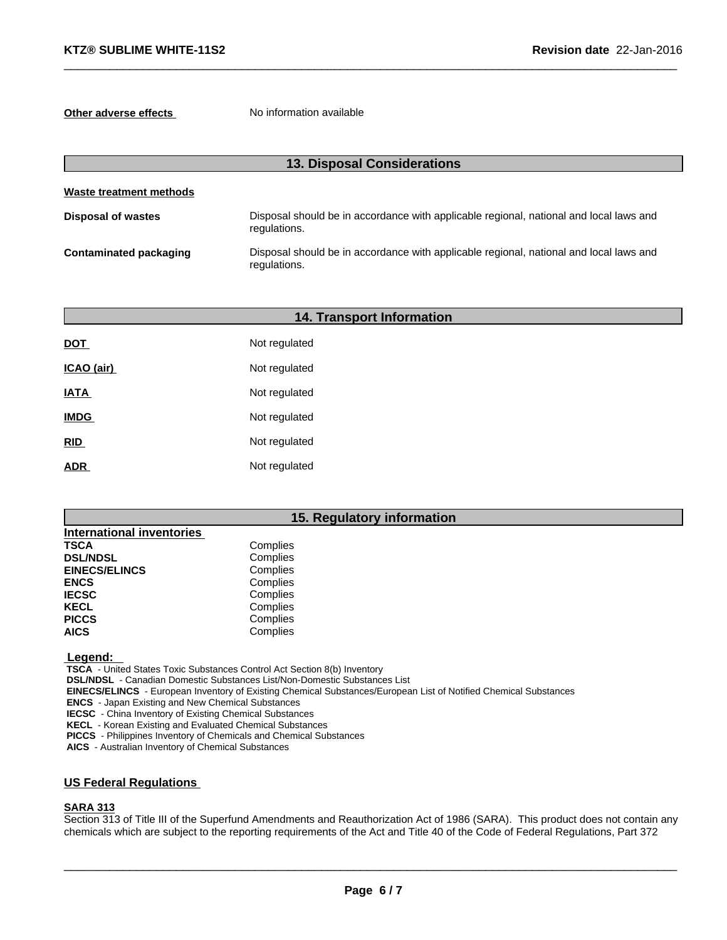**Other adverse effects** No information available

| 13. Disposal Considerations   |                                                                                                        |  |
|-------------------------------|--------------------------------------------------------------------------------------------------------|--|
| Waste treatment methods       |                                                                                                        |  |
| <b>Disposal of wastes</b>     | Disposal should be in accordance with applicable regional, national and local laws and<br>regulations. |  |
| <b>Contaminated packaging</b> | Disposal should be in accordance with applicable regional, national and local laws and<br>regulations. |  |

|             | <b>14. Transport Information</b> |  |
|-------------|----------------------------------|--|
| <b>DOT</b>  | Not regulated                    |  |
| ICAO (air)  | Not regulated                    |  |
| <b>IATA</b> | Not regulated                    |  |
| <b>IMDG</b> | Not regulated                    |  |
| RID         | Not regulated                    |  |
| <b>ADR</b>  | Not regulated                    |  |

# **15. Regulatory information**

| <b>International inventories</b> |          |
|----------------------------------|----------|
| <b>TSCA</b>                      | Complies |
| <b>DSL/NDSL</b>                  | Complies |
| <b>EINECS/ELINCS</b>             | Complies |
| <b>ENCS</b>                      | Complies |
| <b>IECSC</b>                     | Complies |
| <b>KECL</b>                      | Complies |
| <b>PICCS</b>                     | Complies |
| <b>AICS</b>                      | Complies |

 **Legend:** 

 **TSCA** - United States Toxic Substances Control Act Section 8(b) Inventory

 **DSL/NDSL** - Canadian Domestic Substances List/Non-Domestic Substances List

 **EINECS/ELINCS** - European Inventory of Existing Chemical Substances/European List of Notified Chemical Substances

 **ENCS** - Japan Existing and New Chemical Substances

 **IECSC** - China Inventory of Existing Chemical Substances

 **KECL** - Korean Existing and Evaluated Chemical Substances

 **PICCS** - Philippines Inventory of Chemicals and Chemical Substances

 **AICS** - Australian Inventory of Chemical Substances

# **US Federal Regulations**

### **SARA 313**

Section 313 of Title III of the Superfund Amendments and Reauthorization Act of 1986 (SARA). This product does not contain any chemicals which are subject to the reporting requirements of the Act and Title 40 of the Code of Federal Regulations, Part 372